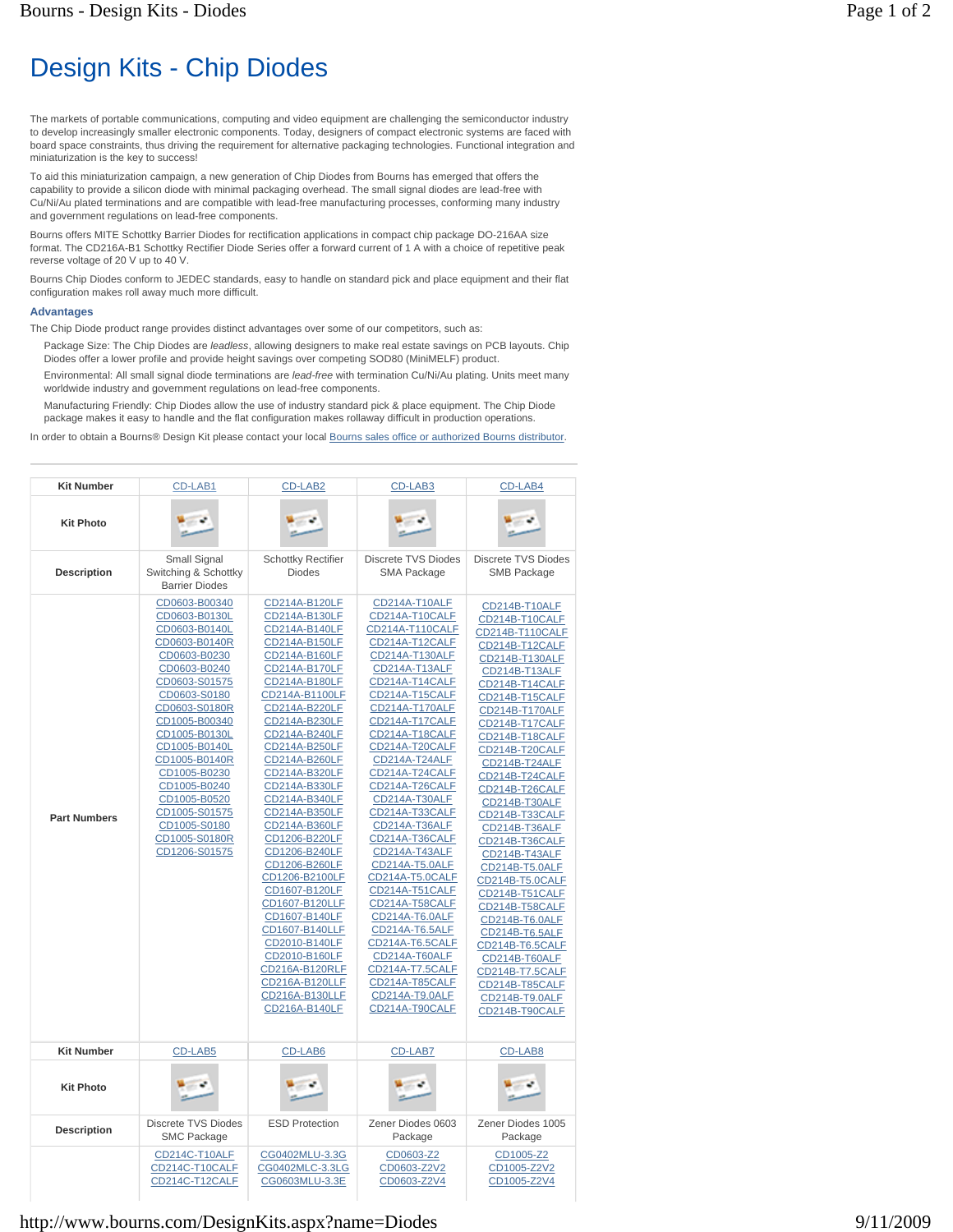## Design Kits - Chip Diodes

The markets of portable communications, computing and video equipment are challenging the semiconductor industry to develop increasingly smaller electronic components. Today, designers of compact electronic systems are faced with board space constraints, thus driving the requirement for alternative packaging technologies. Functional integration and miniaturization is the key to success!

To aid this miniaturization campaign, a new generation of Chip Diodes from Bourns has emerged that offers the capability to provide a silicon diode with minimal packaging overhead. The small signal diodes are lead-free with Cu/Ni/Au plated terminations and are compatible with lead-free manufacturing processes, conforming many industry and government regulations on lead-free components.

Bourns offers MITE Schottky Barrier Diodes for rectification applications in compact chip package DO-216AA size format. The CD216A-B1 Schottky Rectifier Diode Series offer a forward current of 1 A with a choice of repetitive peak reverse voltage of 20 V up to 40 V.

Bourns Chip Diodes conform to JEDEC standards, easy to handle on standard pick and place equipment and their flat configuration makes roll away much more difficult.

## **Advantages**

The Chip Diode product range provides distinct advantages over some of our competitors, such as:

Package Size: The Chip Diodes are *leadless*, allowing designers to make real estate savings on PCB layouts. Chip Diodes offer a lower profile and provide height savings over competing SOD80 (MiniMELF) product.

Environmental: All small signal diode terminations are *lead-free* with termination Cu/Ni/Au plating. Units meet many worldwide industry and government regulations on lead-free components.

Manufacturing Friendly: Chip Diodes allow the use of industry standard pick & place equipment. The Chip Diode package makes it easy to handle and the flat configuration makes rollaway difficult in production operations.

In order to obtain a Bourns® Design Kit please contact your local Bourns sales office or authorized Bourns distributor.

| <b>Kit Number</b>   | CD-LAB1                                                                                                                                                                                                                                                                                                                                   | CD-LAB2                                                                                                                                                                                                                                                                                                                                                                                                                                                                                                                                                             | CD-LAB3                                                                                                                                                                                                                                                                                                                                                                                                                                                                                                                                                                                          | CD-LAB4                                                                                                                                                                                                                                                                                                                                                                                                                                                                                                                                                                                   |
|---------------------|-------------------------------------------------------------------------------------------------------------------------------------------------------------------------------------------------------------------------------------------------------------------------------------------------------------------------------------------|---------------------------------------------------------------------------------------------------------------------------------------------------------------------------------------------------------------------------------------------------------------------------------------------------------------------------------------------------------------------------------------------------------------------------------------------------------------------------------------------------------------------------------------------------------------------|--------------------------------------------------------------------------------------------------------------------------------------------------------------------------------------------------------------------------------------------------------------------------------------------------------------------------------------------------------------------------------------------------------------------------------------------------------------------------------------------------------------------------------------------------------------------------------------------------|-------------------------------------------------------------------------------------------------------------------------------------------------------------------------------------------------------------------------------------------------------------------------------------------------------------------------------------------------------------------------------------------------------------------------------------------------------------------------------------------------------------------------------------------------------------------------------------------|
| <b>Kit Photo</b>    |                                                                                                                                                                                                                                                                                                                                           |                                                                                                                                                                                                                                                                                                                                                                                                                                                                                                                                                                     |                                                                                                                                                                                                                                                                                                                                                                                                                                                                                                                                                                                                  |                                                                                                                                                                                                                                                                                                                                                                                                                                                                                                                                                                                           |
| <b>Description</b>  | Small Signal<br>Switching & Schottky<br><b>Barrier Diodes</b>                                                                                                                                                                                                                                                                             | <b>Schottky Rectifier</b><br><b>Diodes</b>                                                                                                                                                                                                                                                                                                                                                                                                                                                                                                                          | <b>Discrete TVS Diodes</b><br><b>SMA Package</b>                                                                                                                                                                                                                                                                                                                                                                                                                                                                                                                                                 | Discrete TVS Diodes<br><b>SMB Package</b>                                                                                                                                                                                                                                                                                                                                                                                                                                                                                                                                                 |
| <b>Part Numbers</b> | CD0603-B00340<br>CD0603-B0130L<br>CD0603-B0140L<br>CD0603-B0140R<br>CD0603-B0230<br>CD0603-B0240<br>CD0603-S01575<br>CD0603-S0180<br>CD0603-S0180R<br>CD1005-B00340<br>CD1005-B0130L<br>CD1005-B0140L<br>CD1005-B0140R<br>CD1005-B0230<br>CD1005-B0240<br>CD1005-B0520<br>CD1005-S01575<br>CD1005-S0180<br>CD1005-S0180R<br>CD1206-S01575 | CD214A-B120LF<br>CD214A-B130LF<br>CD214A-B140LF<br>CD214A-B150LF<br>CD214A-B160LF<br>CD214A-B170LF<br>CD214A-B180LF<br>CD214A-B1100LF<br>CD214A-B220LF<br>CD214A-B230LF<br>CD214A-B240LF<br>CD214A-B250LF<br>CD214A-B260LF<br>CD214A-B320LF<br>CD214A-B330LF<br>CD214A-B340LF<br>CD214A-B350LF<br>CD214A-B360LF<br>CD1206-B220LF<br>CD1206-B240LF<br>CD1206-B260LF<br>CD1206-B2100LF<br>CD1607-B120LF<br>CD1607-B120LLF<br>CD1607-B140LF<br>CD1607-B140LLF<br>CD2010-B140LF<br>CD2010-B160LF<br>CD216A-B120RLF<br>CD216A-B120LLF<br>CD216A-B130LLF<br>CD216A-B140LF | CD214A-T10ALF<br>CD214A-T10CALF<br>CD214A-T110CALF<br>CD214A-T12CALF<br>CD214A-T130ALF<br>CD214A-T13ALF<br>CD214A-T14CALF<br>CD214A-T15CALF<br>CD214A-T170ALF<br>CD214A-T17CALF<br>CD214A-T18CALF<br>CD214A-T20CALF<br>CD214A-T24ALF<br>CD214A-T24CALF<br>CD214A-T26CALF<br>CD214A-T30ALF<br>CD214A-T33CALF<br>CD214A-T36ALF<br>CD214A-T36CALF<br>CD214A-T43ALF<br>CD214A-T5.0ALF<br>CD214A-T5.0CALF<br>CD214A-T51CALF<br><b>CD214A-T58CALF</b><br>CD214A-T6.0ALF<br>CD214A-T6.5ALF<br>CD214A-T6.5CALF<br>CD214A-T60ALF<br>CD214A-T7.5CALF<br>CD214A-T85CALF<br>CD214A-T9.0ALF<br>CD214A-T90CALF | CD214B-T10ALF<br>CD214B-T10CALF<br>CD214B-T110CALF<br>CD214B-T12CALF<br>CD214B-T130ALF<br>CD214B-T13ALF<br>CD214B-T14CALF<br>CD214B-T15CALF<br>CD214B-T170ALF<br>CD214B-T17CALF<br>CD214B-T18CALF<br>CD214B-T20CALF<br>CD214B-T24ALF<br>CD214B-T24CALF<br>CD214B-T26CALF<br>CD214B-T30ALF<br>CD214B-T33CALF<br>CD214B-T36ALF<br>CD214B-T36CALF<br>CD214B-T43ALF<br>CD214B-T5.0ALF<br>CD214B-T5.0CALF<br>CD214B-T51CALF<br>CD214B-T58CALF<br>CD214B-T6.0ALF<br>CD214B-T6.5ALF<br>CD214B-T6.5CALF<br>CD214B-T60ALF<br>CD214B-T7.5CALF<br>CD214B-T85CALF<br>CD214B-T9.0ALF<br>CD214B-T90CALF |
| <b>Kit Number</b>   | CD-LAB5                                                                                                                                                                                                                                                                                                                                   | CD-LAB6                                                                                                                                                                                                                                                                                                                                                                                                                                                                                                                                                             | CD-LAB7                                                                                                                                                                                                                                                                                                                                                                                                                                                                                                                                                                                          | CD-LAB8                                                                                                                                                                                                                                                                                                                                                                                                                                                                                                                                                                                   |
| <b>Kit Photo</b>    |                                                                                                                                                                                                                                                                                                                                           |                                                                                                                                                                                                                                                                                                                                                                                                                                                                                                                                                                     |                                                                                                                                                                                                                                                                                                                                                                                                                                                                                                                                                                                                  |                                                                                                                                                                                                                                                                                                                                                                                                                                                                                                                                                                                           |
| <b>Description</b>  | <b>Discrete TVS Diodes</b><br><b>SMC Package</b>                                                                                                                                                                                                                                                                                          | <b>ESD Protection</b>                                                                                                                                                                                                                                                                                                                                                                                                                                                                                                                                               | Zener Diodes 0603<br>Package                                                                                                                                                                                                                                                                                                                                                                                                                                                                                                                                                                     | Zener Diodes 1005<br>Package                                                                                                                                                                                                                                                                                                                                                                                                                                                                                                                                                              |
|                     | CD214C-T10ALF<br>CD214C-T10CALF<br>CD214C-T12CALF                                                                                                                                                                                                                                                                                         | CG0402MLU-3.3G<br>CG0402MLC-3.3LG<br>CG0603MLU-3.3E                                                                                                                                                                                                                                                                                                                                                                                                                                                                                                                 | CD0603-Z2<br>CD0603-Z2V2<br>CD0603-Z2V4                                                                                                                                                                                                                                                                                                                                                                                                                                                                                                                                                          | CD1005-Z2<br>CD1005-Z2V2<br>CD1005-Z2V4                                                                                                                                                                                                                                                                                                                                                                                                                                                                                                                                                   |

## http://www.bourns.com/DesignKits.aspx?name=Diodes 9/11/2009